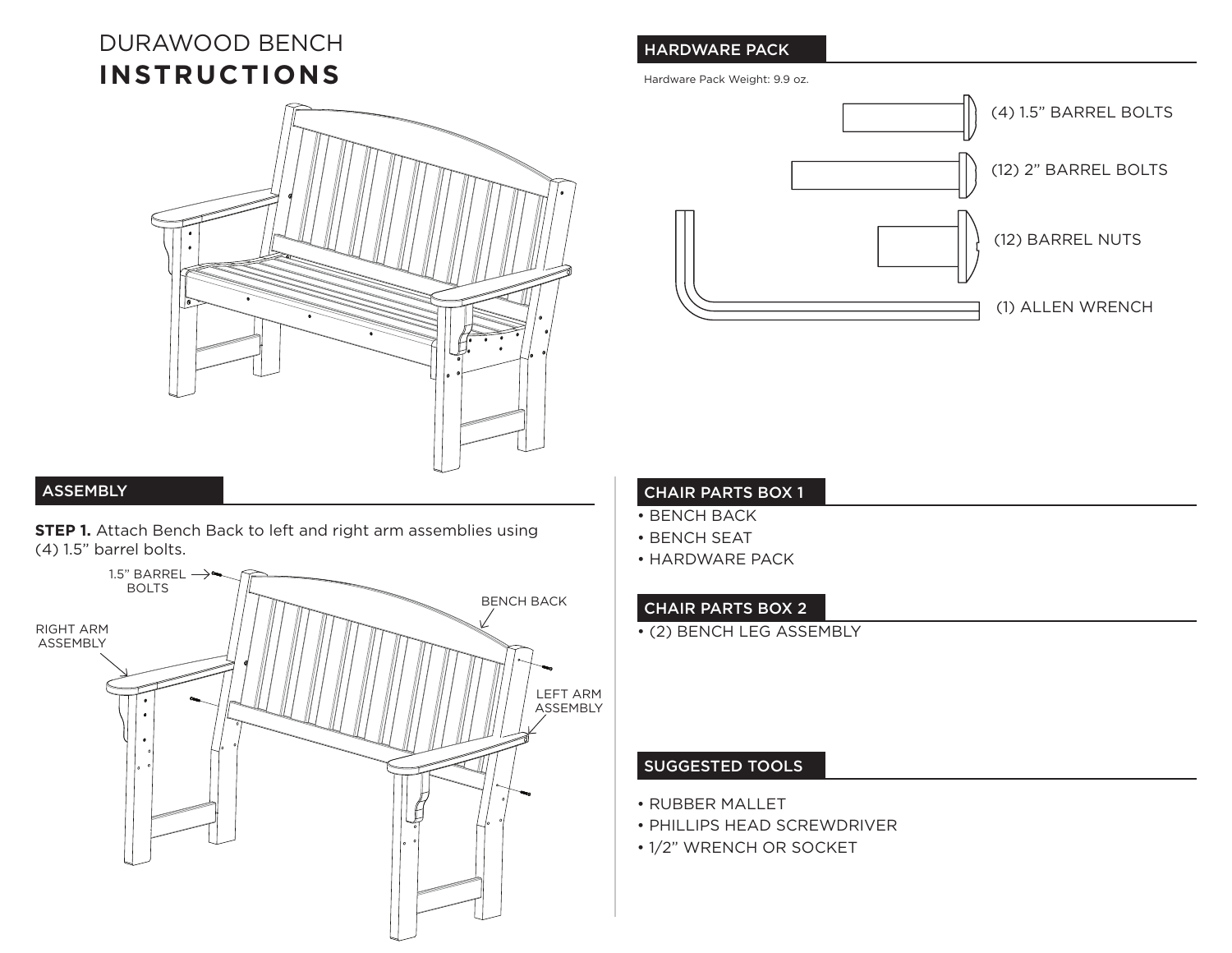# DURAWOOD BENCH **INSTRUCTIONS**



#### **ASSEMBLY**

**STEP 1.** Attach Bench Back to left and right arm assemblies using (4) 1.5" barrel bolts.



## HARDWARE PACK

Hardware Pack Weight: 9.9 oz.



#### CHAIR PARTS BOX 1

- BENCH BACK
- BENCH SEAT
- HARDWARE PACK

#### CHAIR PARTS BOX 2

• (2) BENCH LEG ASSEMBLY

### SUGGESTED TOOLS

- RUBBER MALLET
- PHILLIPS HEAD SCREWDRIVER
- 1/2" WRENCH OR SOCKET